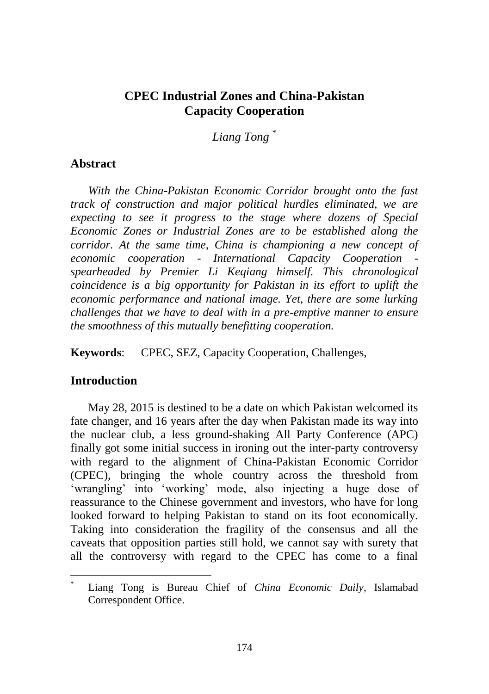## **CPEC Industrial Zones and China-Pakistan Capacity Cooperation**

*Liang Tong* \*

### **Abstract**

*With the China-Pakistan Economic Corridor brought onto the fast track of construction and major political hurdles eliminated, we are expecting to see it progress to the stage where dozens of Special Economic Zones or Industrial Zones are to be established along the corridor. At the same time, China is championing a new concept of economic cooperation - International Capacity Cooperation spearheaded by Premier Li Keqiang himself. This chronological coincidence is a big opportunity for Pakistan in its effort to uplift the economic performance and national image. Yet, there are some lurking challenges that we have to deal with in a pre-emptive manner to ensure the smoothness of this mutually benefitting cooperation.* 

**Keywords**: CPEC, SEZ, Capacity Cooperation, Challenges,

### **Introduction**

 $\overline{a}$ 

May 28, 2015 is destined to be a date on which Pakistan welcomed its fate changer, and 16 years after the day when Pakistan made its way into the nuclear club, a less ground-shaking All Party Conference (APC) finally got some initial success in ironing out the inter-party controversy with regard to the alignment of China-Pakistan Economic Corridor (CPEC), bringing the whole country across the threshold from 'wrangling' into 'working' mode, also injecting a huge dose of reassurance to the Chinese government and investors, who have for long looked forward to helping Pakistan to stand on its foot economically. Taking into consideration the fragility of the consensus and all the caveats that opposition parties still hold, we cannot say with surety that all the controversy with regard to the CPEC has come to a final

<sup>\*</sup> Liang Tong is Bureau Chief of *China Economic Daily*, Islamabad Correspondent Office.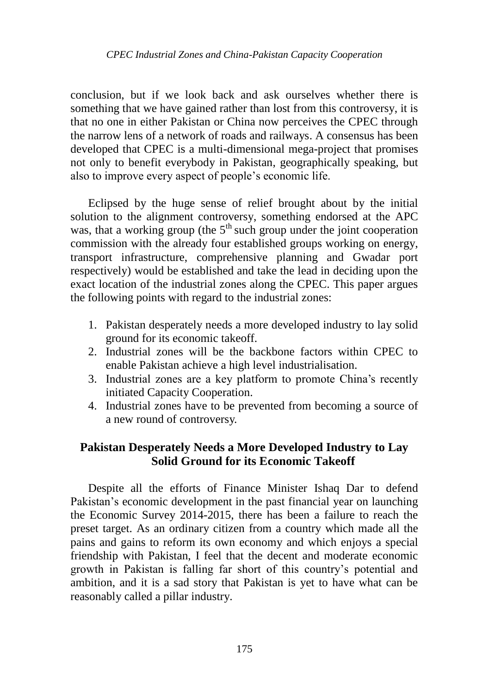conclusion, but if we look back and ask ourselves whether there is something that we have gained rather than lost from this controversy, it is that no one in either Pakistan or China now perceives the CPEC through the narrow lens of a network of roads and railways. A consensus has been developed that CPEC is a multi-dimensional mega-project that promises not only to benefit everybody in Pakistan, geographically speaking, but also to improve every aspect of people"s economic life.

Eclipsed by the huge sense of relief brought about by the initial solution to the alignment controversy, something endorsed at the APC was, that a working group (the  $5<sup>th</sup>$  such group under the joint cooperation commission with the already four established groups working on energy, transport infrastructure, comprehensive planning and Gwadar port respectively) would be established and take the lead in deciding upon the exact location of the industrial zones along the CPEC. This paper argues the following points with regard to the industrial zones:

- 1. Pakistan desperately needs a more developed industry to lay solid ground for its economic takeoff.
- 2. Industrial zones will be the backbone factors within CPEC to enable Pakistan achieve a high level industrialisation.
- 3. Industrial zones are a key platform to promote China"s recently initiated Capacity Cooperation.
- 4. Industrial zones have to be prevented from becoming a source of a new round of controversy.

## **Pakistan Desperately Needs a More Developed Industry to Lay Solid Ground for its Economic Takeoff**

Despite all the efforts of Finance Minister Ishaq Dar to defend Pakistan's economic development in the past financial year on launching the Economic Survey 2014-2015, there has been a failure to reach the preset target. As an ordinary citizen from a country which made all the pains and gains to reform its own economy and which enjoys a special friendship with Pakistan, I feel that the decent and moderate economic growth in Pakistan is falling far short of this country"s potential and ambition, and it is a sad story that Pakistan is yet to have what can be reasonably called a pillar industry.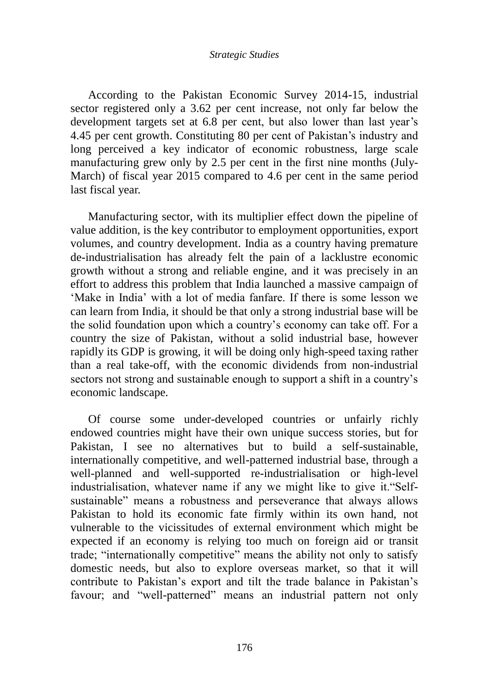#### *Strategic Studies*

According to the [Pakistan Economic Survey 2014-15,](https://www.google.com.hk/url?sa=t&rct=j&q=&esrc=s&source=web&cd=1&cad=rja&uact=8&ved=0CBsQFjAA&url=http%3A%2F%2Fwww.finance.gov.pk%2Fsurvey_1415.html&ei=i6qgVez7A5GTuASWtrO4AQ&usg=AFQjCNFZenGZqFOHQgtdCHQk9H3dwRi1xA&bvm=bv.97653015,d.dGo) industrial sector registered only a 3.62 per cent increase, not only far below the development targets set at 6.8 per cent, but also lower than last year's 4.45 per cent growth. Constituting 80 per cent of Pakistan"s industry and long perceived a key indicator of economic robustness, large scale manufacturing grew only by 2.5 per cent in the first nine months (July-March) of fiscal year 2015 compared to 4.6 per cent in the same period last fiscal year.

Manufacturing sector, with its multiplier effect down the pipeline of value addition, is the key contributor to employment opportunities, export volumes, and country development. India as a country having premature de-industrialisation has already felt the pain of a lacklustre economic growth without a strong and reliable engine, and it was precisely in an effort to address this problem that India launched a massive campaign of "Make in India" with a lot of media fanfare. If there is some lesson we can learn from India, it should be that only a strong industrial base will be the solid foundation upon which a country"s economy can take off. For a country the size of Pakistan, without a solid industrial base, however rapidly its GDP is growing, it will be doing only high-speed taxing rather than a real take-off, with the economic dividends from non-industrial sectors not strong and sustainable enough to support a shift in a country"s economic landscape.

Of course some under-developed countries or unfairly richly endowed countries might have their own unique success stories, but for Pakistan, I see no alternatives but to build a self-sustainable, internationally competitive, and well-patterned industrial base, through a well-planned and well-supported re-industrialisation or high-level industrialisation, whatever name if any we might like to give it."Selfsustainable" means a robustness and perseverance that always allows Pakistan to hold its economic fate firmly within its own hand, not vulnerable to the vicissitudes of external environment which might be expected if an economy is relying too much on foreign aid or transit trade; "internationally competitive" means the ability not only to satisfy domestic needs, but also to explore overseas market, so that it will contribute to Pakistan's export and tilt the trade balance in Pakistan's favour; and "well-patterned" means an industrial pattern not only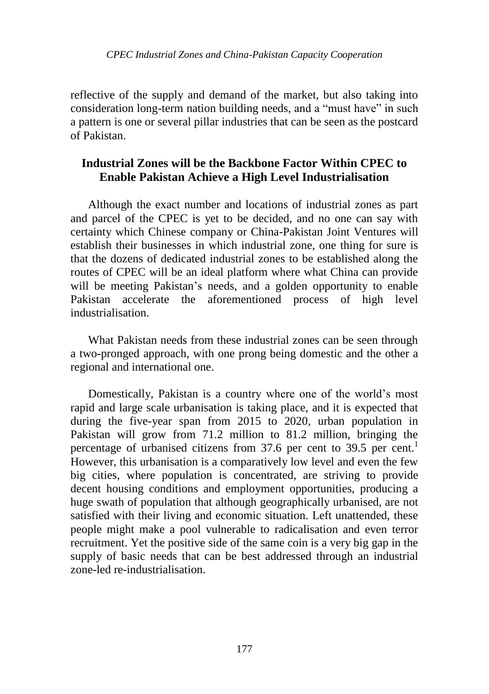reflective of the supply and demand of the market, but also taking into consideration long-term nation building needs, and a "must have" in such a pattern is one or several pillar industries that can be seen as the postcard of Pakistan.

## **Industrial Zones will be the Backbone Factor Within CPEC to Enable Pakistan Achieve a High Level Industrialisation**

Although the exact number and locations of industrial zones as part and parcel of the CPEC is yet to be decided, and no one can say with certainty which Chinese company or China-Pakistan Joint Ventures will establish their businesses in which industrial zone, one thing for sure is that the dozens of dedicated industrial zones to be established along the routes of CPEC will be an ideal platform where what China can provide will be meeting Pakistan's needs, and a golden opportunity to enable Pakistan accelerate the aforementioned process of high level industrialisation.

What Pakistan needs from these industrial zones can be seen through a two-pronged approach, with one prong being domestic and the other a regional and international one.

Domestically, Pakistan is a country where one of the world"s most rapid and large scale urbanisation is taking place, and it is expected that during the five-year span from 2015 to 2020, urban population in Pakistan will grow from 71.2 million to 81.2 million, bringing the percentage of urbanised citizens from 37.6 per cent to 39.5 per cent.<sup>1</sup> However, this urbanisation is a comparatively low level and even the few big cities, where population is concentrated, are striving to provide decent housing conditions and employment opportunities, producing a huge swath of population that although geographically urbanised, are not satisfied with their living and economic situation. Left unattended, these people might make a pool vulnerable to radicalisation and even terror recruitment. Yet the positive side of the same coin is a very big gap in the supply of basic needs that can be best addressed through an industrial zone-led re-industrialisation.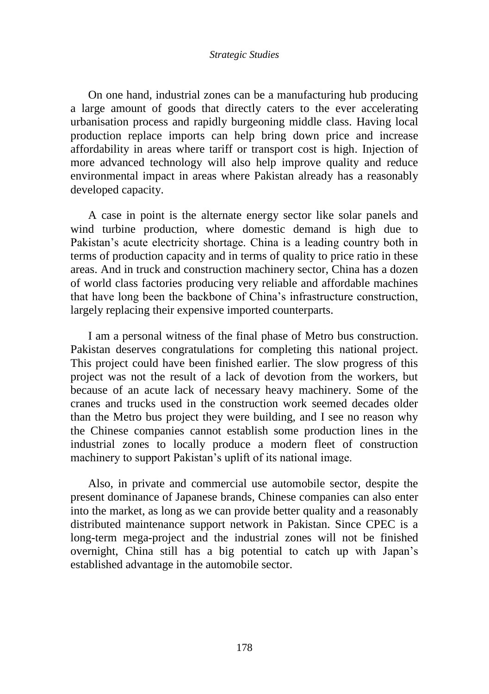#### *Strategic Studies*

On one hand, industrial zones can be a manufacturing hub producing a large amount of goods that directly caters to the ever accelerating urbanisation process and rapidly burgeoning middle class. Having local production replace imports can help bring down price and increase affordability in areas where tariff or transport cost is high. Injection of more advanced technology will also help improve quality and reduce environmental impact in areas where Pakistan already has a reasonably developed capacity.

A case in point is the alternate energy sector like solar panels and wind turbine production, where domestic demand is high due to Pakistan's acute electricity shortage. China is a leading country both in terms of production capacity and in terms of quality to price ratio in these areas. And in truck and construction machinery sector, China has a dozen of world class factories producing very reliable and affordable machines that have long been the backbone of China"s infrastructure construction, largely replacing their expensive imported counterparts.

I am a personal witness of the final phase of Metro bus construction. Pakistan deserves congratulations for completing this national project. This project could have been finished earlier. The slow progress of this project was not the result of a lack of devotion from the workers, but because of an acute lack of necessary heavy machinery. Some of the cranes and trucks used in the construction work seemed decades older than the Metro bus project they were building, and I see no reason why the Chinese companies cannot establish some production lines in the industrial zones to locally produce a modern fleet of construction machinery to support Pakistan's uplift of its national image.

Also, in private and commercial use automobile sector, despite the present dominance of Japanese brands, Chinese companies can also enter into the market, as long as we can provide better quality and a reasonably distributed maintenance support network in Pakistan. Since CPEC is a long-term mega-project and the industrial zones will not be finished overnight, China still has a big potential to catch up with Japan"s established advantage in the automobile sector.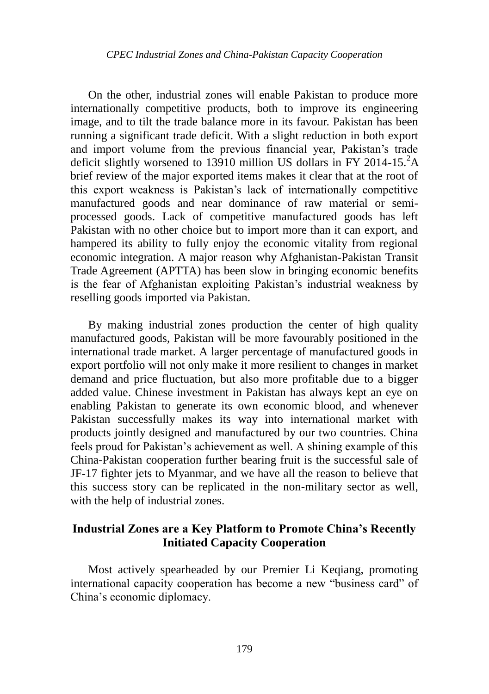On the other, industrial zones will enable Pakistan to produce more internationally competitive products, both to improve its engineering image, and to tilt the trade balance more in its favour. Pakistan has been running a significant trade deficit. With a slight reduction in both export and import volume from the previous financial year, Pakistan"s trade deficit slightly worsened to 13910 million US dollars in FY 2014-15. $^2$ A brief review of the major exported items makes it clear that at the root of this export weakness is Pakistan"s lack of internationally competitive manufactured goods and near dominance of raw material or semiprocessed goods. Lack of competitive manufactured goods has left Pakistan with no other choice but to import more than it can export, and hampered its ability to fully enjoy the economic vitality from regional economic integration. A major reason why Afghanistan-Pakistan Transit Trade Agreement (APTTA) has been slow in bringing economic benefits is the fear of Afghanistan exploiting Pakistan's industrial weakness by reselling goods imported via Pakistan.

By making industrial zones production the center of high quality manufactured goods, Pakistan will be more favourably positioned in the international trade market. A larger percentage of manufactured goods in export portfolio will not only make it more resilient to changes in market demand and price fluctuation, but also more profitable due to a bigger added value. Chinese investment in Pakistan has always kept an eye on enabling Pakistan to generate its own economic blood, and whenever Pakistan successfully makes its way into international market with products jointly designed and manufactured by our two countries. China feels proud for Pakistan's achievement as well. A shining example of this China-Pakistan cooperation further bearing fruit is the successful sale of JF-17 fighter jets to Myanmar, and we have all the reason to believe that this success story can be replicated in the non-military sector as well, with the help of industrial zones.

# **Industrial Zones are a Key Platform to Promote China's Recently Initiated Capacity Cooperation**

Most actively spearheaded by our Premier Li Keqiang, promoting international capacity cooperation has become a new "business card" of China"s economic diplomacy.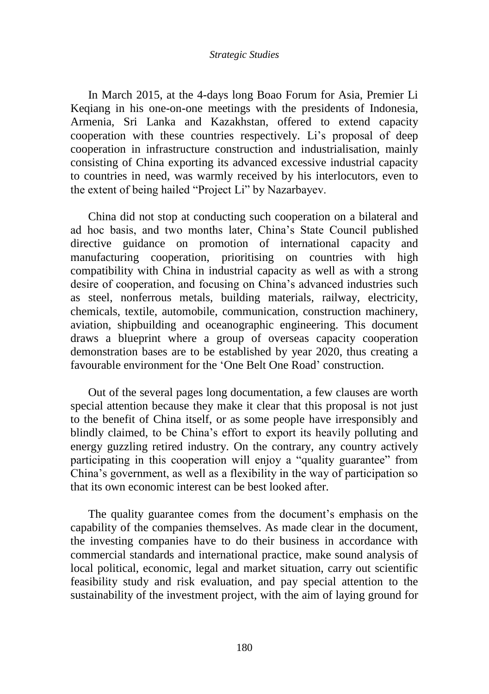In March 2015, at the 4-days long Boao Forum for Asia, Premier Li Keqiang in his one-on-one meetings with the presidents of Indonesia, Armenia, Sri Lanka and Kazakhstan, offered to extend capacity cooperation with these countries respectively. Li's proposal of deep cooperation in infrastructure construction and industrialisation, mainly consisting of China exporting its advanced excessive industrial capacity to countries in need, was warmly received by his interlocutors, even to the extent of being hailed "Project Li" by Nazarbayev.

China did not stop at conducting such cooperation on a bilateral and ad hoc basis, and two months later, China"s State Council published directive guidance on promotion of international capacity and manufacturing cooperation, prioritising on countries with high compatibility with China in industrial capacity as well as with a strong desire of cooperation, and focusing on China"s advanced industries such as steel, nonferrous metals, building materials, railway, electricity, chemicals, textile, automobile, communication, construction machinery, aviation, shipbuilding and oceanographic engineering. This document draws a blueprint where a group of overseas capacity cooperation demonstration bases are to be established by year 2020, thus creating a favourable environment for the 'One Belt One Road' construction.

Out of the several pages long documentation, a few clauses are worth special attention because they make it clear that this proposal is not just to the benefit of China itself, or as some people have irresponsibly and blindly claimed, to be China"s effort to export its heavily polluting and energy guzzling retired industry. On the contrary, any country actively participating in this cooperation will enjoy a "quality guarantee" from China"s government, as well as a flexibility in the way of participation so that its own economic interest can be best looked after.

The quality guarantee comes from the document's emphasis on the capability of the companies themselves. As made clear in the document, the investing companies have to do their business in accordance with commercial standards and international practice, make sound analysis of local political, economic, legal and market situation, carry out scientific feasibility study and risk evaluation, and pay special attention to the sustainability of the investment project, with the aim of laying ground for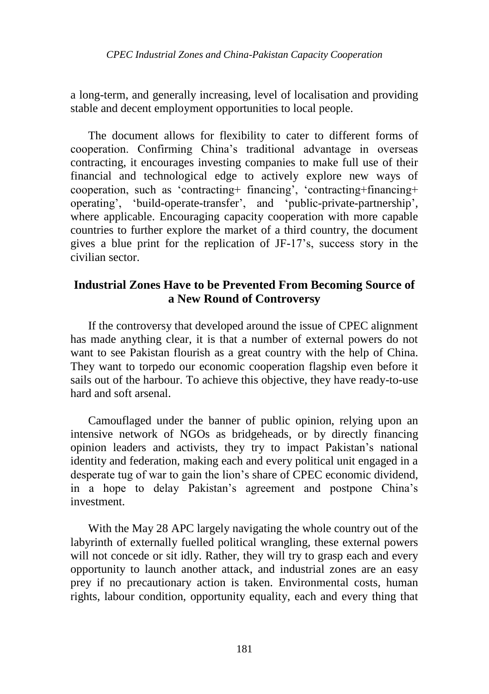a long-term, and generally increasing, level of localisation and providing stable and decent employment opportunities to local people.

The document allows for flexibility to cater to different forms of cooperation. Confirming China"s traditional advantage in overseas contracting, it encourages investing companies to make full use of their financial and technological edge to actively explore new ways of cooperation, such as "contracting+ financing", "contracting+financing+ operating', 'build-operate-transfer', and 'public-private-partnership', where applicable. Encouraging capacity cooperation with more capable countries to further explore the market of a third country, the document gives a blue print for the replication of JF-17"s, success story in the civilian sector.

# **Industrial Zones Have to be Prevented From Becoming Source of a New Round of Controversy**

If the controversy that developed around the issue of CPEC alignment has made anything clear, it is that a number of external powers do not want to see Pakistan flourish as a great country with the help of China. They want to torpedo our economic cooperation flagship even before it sails out of the harbour. To achieve this objective, they have ready-to-use hard and soft arsenal.

Camouflaged under the banner of public opinion, relying upon an intensive network of NGOs as bridgeheads, or by directly financing opinion leaders and activists, they try to impact Pakistan"s national identity and federation, making each and every political unit engaged in a desperate tug of war to gain the lion"s share of CPEC economic dividend, in a hope to delay Pakistan"s agreement and postpone China"s investment.

With the May 28 APC largely navigating the whole country out of the labyrinth of externally fuelled political wrangling, these external powers will not concede or sit idly. Rather, they will try to grasp each and every opportunity to launch another attack, and industrial zones are an easy prey if no precautionary action is taken. Environmental costs, human rights, labour condition, opportunity equality, each and every thing that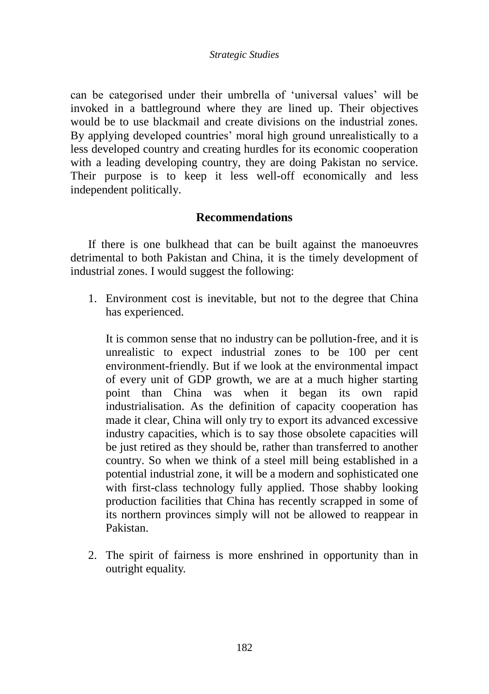#### *Strategic Studies*

can be categorised under their umbrella of "universal values" will be invoked in a battleground where they are lined up. Their objectives would be to use blackmail and create divisions on the industrial zones. By applying developed countries' moral high ground unrealistically to a less developed country and creating hurdles for its economic cooperation with a leading developing country, they are doing Pakistan no service. Their purpose is to keep it less well-off economically and less independent politically.

### **Recommendations**

If there is one bulkhead that can be built against the manoeuvres detrimental to both Pakistan and China, it is the timely development of industrial zones. I would suggest the following:

1. Environment cost is inevitable, but not to the degree that China has experienced.

It is common sense that no industry can be pollution-free, and it is unrealistic to expect industrial zones to be 100 per cent environment-friendly. But if we look at the environmental impact of every unit of GDP growth, we are at a much higher starting point than China was when it began its own rapid industrialisation. As the definition of capacity cooperation has made it clear, China will only try to export its advanced excessive industry capacities, which is to say those obsolete capacities will be just retired as they should be, rather than transferred to another country. So when we think of a steel mill being established in a potential industrial zone, it will be a modern and sophisticated one with first-class technology fully applied. Those shabby looking production facilities that China has recently scrapped in some of its northern provinces simply will not be allowed to reappear in Pakistan.

2. The spirit of fairness is more enshrined in opportunity than in outright equality.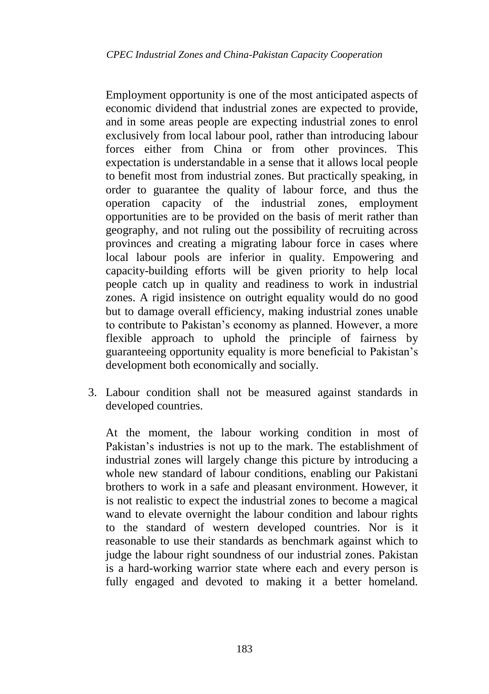Employment opportunity is one of the most anticipated aspects of economic dividend that industrial zones are expected to provide, and in some areas people are expecting industrial zones to enrol exclusively from local labour pool, rather than introducing labour forces either from China or from other provinces. This expectation is understandable in a sense that it allows local people to benefit most from industrial zones. But practically speaking, in order to guarantee the quality of labour force, and thus the operation capacity of the industrial zones, employment opportunities are to be provided on the basis of merit rather than geography, and not ruling out the possibility of recruiting across provinces and creating a migrating labour force in cases where local labour pools are inferior in quality. Empowering and capacity-building efforts will be given priority to help local people catch up in quality and readiness to work in industrial zones. A rigid insistence on outright equality would do no good but to damage overall efficiency, making industrial zones unable to contribute to Pakistan's economy as planned. However, a more flexible approach to uphold the principle of fairness by guaranteeing opportunity equality is more beneficial to Pakistan"s development both economically and socially.

3. Labour condition shall not be measured against standards in developed countries.

At the moment, the labour working condition in most of Pakistan's industries is not up to the mark. The establishment of industrial zones will largely change this picture by introducing a whole new standard of labour conditions, enabling our Pakistani brothers to work in a safe and pleasant environment. However, it is not realistic to expect the industrial zones to become a magical wand to elevate overnight the labour condition and labour rights to the standard of western developed countries. Nor is it reasonable to use their standards as benchmark against which to judge the labour right soundness of our industrial zones. Pakistan is a hard-working warrior state where each and every person is fully engaged and devoted to making it a better homeland.